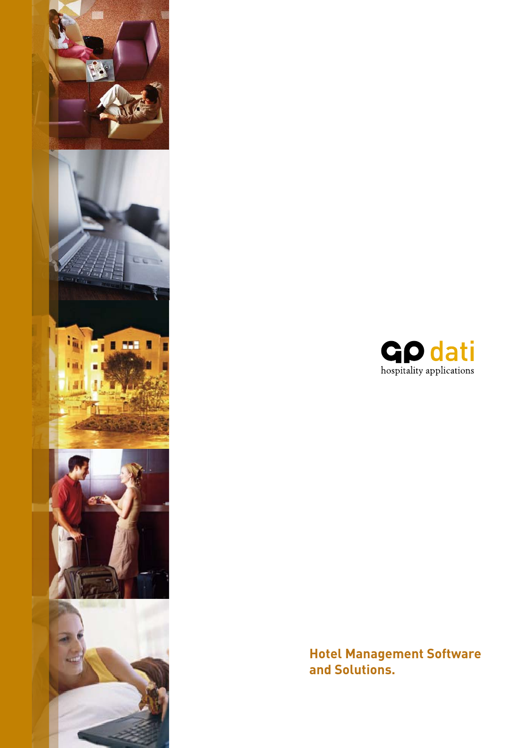



**Hotel Management Software and Solutions.**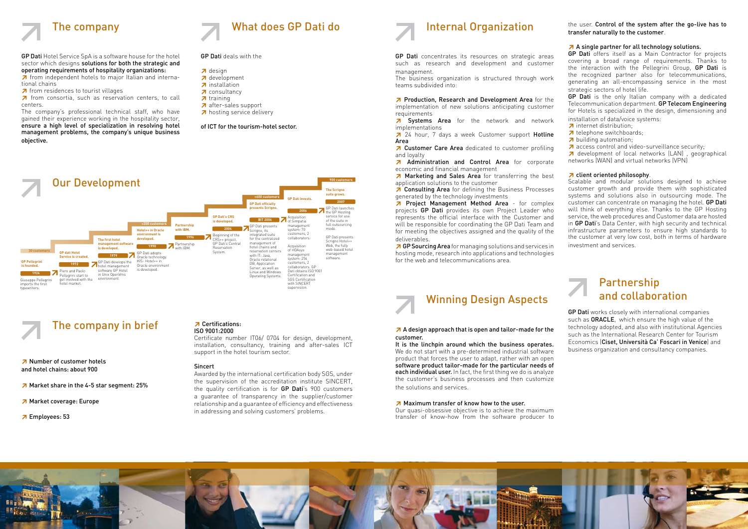

GP Dati Hotel Service SpA is a software house for the hotel sector which designs solutions for both the strategic and operating requirements of hospitality organizations:

≥ from independent hotels to major Italian and international chains

≥ from residences to tourist villages

≥ from consortia, such as reservation centers, to call centers.

The company's professional technical staff, who have gained their experience working in the hospitality sector, ensure a high level of specialization in resolving hotel management problems, the company's unique business objective.

The company in brief

≥ Number of customer hotels and hotel chains: about 900

≥ Market share in the 4-5 star segment: 25%

■ 24 hour, 7 days a week Customer support Hotline Area

- ≥ Market coverage: Europe
- ≥ Employees: 53



GP Dati deals with the

- ≥ design
- ≥ development
- ≥ installation
- ≥ consultancy
- ≥ training
- ≥ after-sales support
- ≥ hosting service delivery

of ICT for the tourism-hotel sector.



GP Dati concentrates its resources on strategic areas such as research and development and customer management.

The business organization is structured through work teams subdivided into:

≥ Production, Research and Development Area for the implementation of new solutions anticipating customer requirements

≥ Systems Area for the network and network implementations

≥ Customer Care Area dedicated to customer profiling and loyalty

≥ Administration and Control Area for corporate economic and financial management

≥ Marketing and Sales Area for transferring the best application solutions to the customer

≥ Consulting Area for defining the Business Processes generated by the technology investments

GP Dati is the only Italian company with a dedicated Telecommunication department. GP Telecom Engineering for Hotels is specialized in the design, dimensioning and installation of data/voice systems:

≥ Project Management Method Area - for complex projects **GP Dati** provides its own Project Leader who represents the official interface with the Customer and will be responsible for coordinating the GP Dati Team and for meeting the objectives assigned and the quality of the deliverables.

≥GP Sourcing Area for managing solutions and services in hosting mode, research into applications and technologies for the web and telecommunications area.

# Winning Design Aspects

≥ A design approach that is open and tailor-made for the customer.

It is the linchpin around which the business operates. We do not start with a pre-determined industrial software product that forces the user to adapt, rather with an open software product tailor-made for the particular needs of each individual user. In fact, the first thing we do is analyze the customer's business processes and then customize the solutions and services.

#### ≥ Maximum transfer of know how to the user.

Our quasi-obsessive objective is to achieve the maximum transfer of know-how from the software producer to



the user. Control of the system after the go-live has to transfer naturally to the customer.

#### ≥ A single partner for all technology solutions.

GP Dati offers itself as a Main Contractor for projects covering a broad range of requirements. Thanks to the interaction with the Pellegrini Group, GP Dati is the recognized partner also for telecommunications, generating an all-encompassing service in the most strategic sectors of hotel life.

- ≥ internet distribution;
- ≥ telephone switchboards;
- ≥ building automation;
- ≥ access control and video-surveillance security;

≥ development of local networks (LAN) , geographical networks (WAN) and virtual networks (VPN)

#### ≥ client oriented philosophy.

Scalable and modular solutions designed to achieve customer growth and provide them with sophisticated systems and solutions also in outsourcing mode. The customer can concentrate on managing the hotel. GP Dati will think of everything else. Thanks to the GP Hosting service, the web procedures and Customer data are hosted in GP Dati's Data Center, with high security and technical infrastructure parameters to ensure high standards to the customer at very low cost, both in terms of hardware investment and services.

## Partnership and collaboration

GP Dati works closely with international companies such as ORACLE, which ensure the high value of the technology adopted, and also with institutional Agencies such as the International Research Center for Tourism Economics (Ciset, Università Ca' Foscari in Venice) and business organization and consultancy companies.

#### ≥ Certifications: ISO 9001:2000

Certificate number IT06/ 0704 for design, development, installation, consultancy, training and after-sales ICT support in the hotel tourism sector.

### Sincert

Awarded by the international certification body SGS, under the supervision of the accreditation institute SINCERT, the quality certification is for GP Dati's 900 customers a guarantee of transparency in the supplier/customer relationship and a guarantee of efficiency and effectiveness in addressing and solving customers' problems.